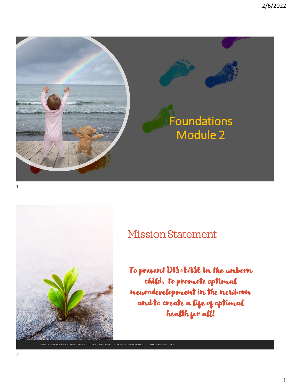



#### Mission Statement

To prevent DIS-EASE in the unborn child, to promote optimal neurodevelopment in the newborn and to create a life of optimal health for all!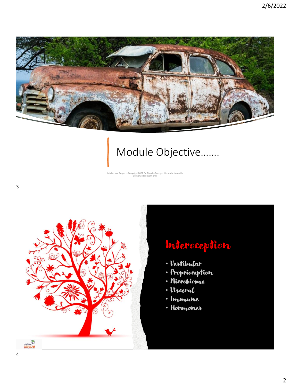

## Module Objective…….

Intellectual Property Copyright 2022 Dr. Monika Buerger. Reproduction with authorized consent only



### Interoception

- · Vestibular
- · Proprioception
- · Microbiome
- · Visceral
- · Immune
- Hormones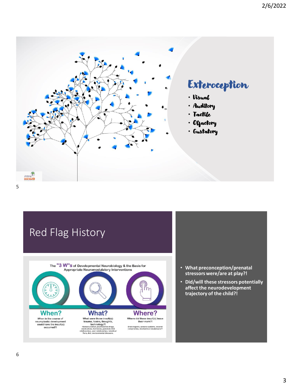

### Red Flag History



- **What preconception/prenatal stressors were/are at play?!**
- **Did/will these stressors potentially affect the neurodevelopment trajectory of the child?!**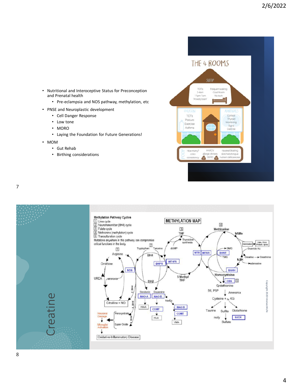

- Nutritional and Interoceptive Status for Preconception and Prenatal health
	- Pre-eclampsia and NOS pathway, methylation, etc
- PNSE and Neuroplastic development
	- Cell Danger Response
	- Low tone
	- MORO
	- Laying the Foundation for Future Generations!
- MOM
	- Gut Rehab
	- Birthing considerations



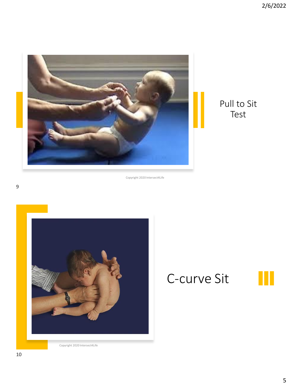

#### Pull to Sit Test

Copyright 2020 Intersect4Life



# C-curve Sit



Copyright 2020 Intersect4Life